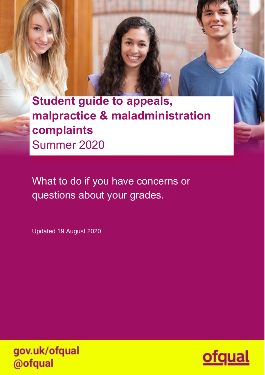**Student guide to appeals, malpractice & maladministration complaints** Summer 2020

What to do if you have concerns or questions about your grades.

Updated 19 August 2020



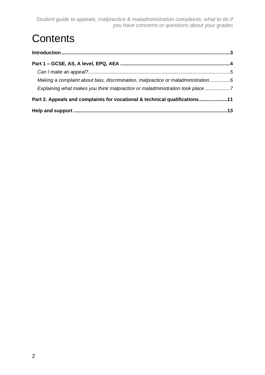*Student guide to appeals, malpractice & maladministration complaints: what to do if you have concerns or questions about your grades*

# **Contents**

| Making a complaint about bias, discrimination, malpractice or maladministration6 |  |
|----------------------------------------------------------------------------------|--|
| Explaining what makes you think malpractice or maladministration took place7     |  |
| Part 2. Appeals and complaints for vocational & technical qualifications11       |  |
|                                                                                  |  |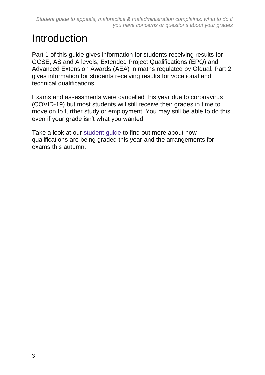# <span id="page-2-0"></span>Introduction

Part 1 of this guide gives information for students receiving results for GCSE, AS and A levels, Extended Project Qualifications (EPQ) and Advanced Extension Awards (AEA) in maths regulated by Ofqual. Part 2 gives information for students receiving results for vocational and technical qualifications.

Exams and assessments were cancelled this year due to coronavirus (COVID-19) but most students will still receive their grades in time to move on to further study or employment. You may still be able to do this even if your grade isn't what you wanted.

Take a look at our [student](https://www.gov.uk/government/publications/student-guide-to-post-16-qualification-results-summer-2020) quide to find out more about how qualifications are being graded this year and the arrangements for exams this autumn.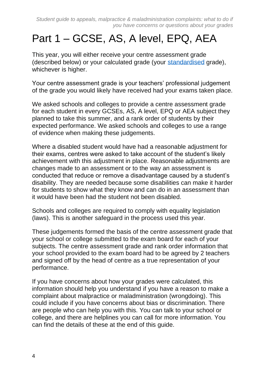# <span id="page-3-0"></span>Part 1 – GCSE, AS, A level, EPQ, AEA

This year, you will either receive your centre assessment grade (described below) or your calculated grade (your [standardised](https://www.gov.uk/government/publications/awarding-qualifications-in-summer-2020#summer-symposium) grade), whichever is higher.

Your centre assessment grade is your teachers' professional judgement of the grade you would likely have received had your exams taken place.

We asked schools and colleges to provide a centre assessment grade for each student in every GCSEs, AS, A level, EPQ or AEA subject they planned to take this summer, and a rank order of students by their expected performance. We asked schools and colleges to use a range of evidence when making these judgements.

Where a disabled student would have had a reasonable adjustment for their exams, centres were asked to take account of the student's likely achievement with this adjustment in place. Reasonable adjustments are changes made to an assessment or to the way an assessment is conducted that reduce or remove a disadvantage caused by a student's disability. They are needed because some disabilities can make it harder for students to show what they know and can do in an assessment than it would have been had the student not been disabled.

Schools and colleges are required to comply with equality legislation (laws). This is another safeguard in the process used this year.

These judgements formed the basis of the centre assessment grade that your school or college submitted to the exam board for each of your subjects. The centre assessment grade and rank order information that your school provided to the exam board had to be agreed by 2 teachers and signed off by the head of centre as a true representation of your performance.

If you have concerns about how your grades were calculated, this information should help you understand if you have a reason to make a complaint about malpractice or maladministration (wrongdoing). This could include if you have concerns about bias or discrimination. There are people who can help you with this. You can talk to your school or college, and there are helplines you can call for more information. You can find the details of these at the end of this guide.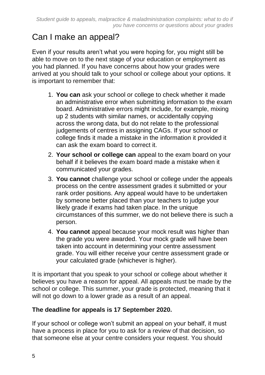# <span id="page-4-0"></span>Can I make an appeal?

Even if your results aren't what you were hoping for, you might still be able to move on to the next stage of your education or employment as you had planned. If you have concerns about how your grades were arrived at you should talk to your school or college about your options. It is important to remember that:

- 1. **You can** ask your school or college to check whether it made an administrative error when submitting information to the exam board. Administrative errors might include, for example, mixing up 2 students with similar names, or accidentally copying across the wrong data, but do not relate to the professional judgements of centres in assigning CAGs. If your school or college finds it made a mistake in the information it provided it can ask the exam board to correct it.
- 2. **Your school or college can** appeal to the exam board on your behalf if it believes the exam board made a mistake when it communicated your grades.
- 3. **You cannot** challenge your school or college under the appeals process on the centre assessment grades it submitted or your rank order positions. Any appeal would have to be undertaken by someone better placed than your teachers to judge your likely grade if exams had taken place. In the unique circumstances of this summer, we do not believe there is such a person.
- 4. **You cannot** appeal because your mock result was higher than the grade you were awarded. Your mock grade will have been taken into account in determining your centre assessment grade. You will either receive your centre assessment grade or your calculated grade (whichever is higher).

It is important that you speak to your school or college about whether it believes you have a reason for appeal. All appeals must be made by the school or college. This summer, your grade is protected, meaning that it will not go down to a lower grade as a result of an appeal.

#### **The deadline for appeals is 17 September 2020.**

If your school or college won't submit an appeal on your behalf, it must have a process in place for you to ask for a review of that decision, so that someone else at your centre considers your request. You should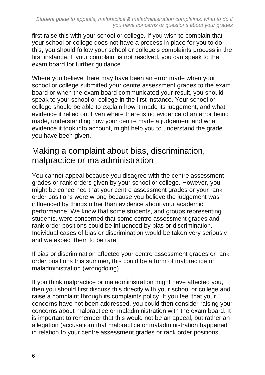first raise this with your school or college. If you wish to complain that your school or college does not have a process in place for you to do this, you should follow your school or college's complaints process in the first instance. If your complaint is not resolved, you can speak to the exam board for further guidance.

Where you believe there may have been an error made when your school or college submitted your centre assessment grades to the exam board or when the exam board communicated your result, you should speak to your school or college in the first instance. Your school or college should be able to explain how it made its judgement, and what evidence it relied on. Even where there is no evidence of an error being made, understanding how your centre made a judgement and what evidence it took into account, might help you to understand the grade you have been given.

### <span id="page-5-0"></span>Making a complaint about bias, discrimination, malpractice or maladministration

You cannot appeal because you disagree with the centre assessment grades or rank orders given by your school or college. However, you might be concerned that your centre assessment grades or your rank order positions were wrong because you believe the judgement was influenced by things other than evidence about your academic performance. We know that some students, and groups representing students, were concerned that some centre assessment grades and rank order positions could be influenced by bias or discrimination. Individual cases of bias or discrimination would be taken very seriously, and we expect them to be rare.

If bias or discrimination affected your centre assessment grades or rank order positions this summer, this could be a form of malpractice or maladministration (wrongdoing).

If you think malpractice or maladministration might have affected you, then you should first discuss this directly with your school or college and raise a complaint through its complaints policy. If you feel that your concerns have not been addressed, you could then consider raising your concerns about malpractice or maladministration with the exam board. It is important to remember that this would not be an appeal, but rather an allegation (accusation) that malpractice or maladministration happened in relation to your centre assessment grades or rank order positions.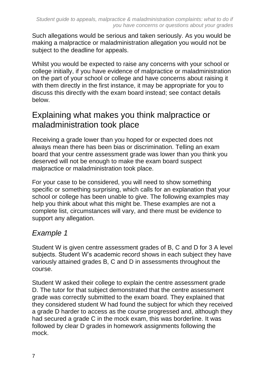Such allegations would be serious and taken seriously. As you would be making a malpractice or maladministration allegation you would not be subject to the deadline for appeals.

Whilst you would be expected to raise any concerns with your school or college initially, if you have evidence of malpractice or maladministration on the part of your school or college and have concerns about raising it with them directly in the first instance, it may be appropriate for you to discuss this directly with the exam board instead; see contact details below.

## <span id="page-6-0"></span>Explaining what makes you think malpractice or maladministration took place

Receiving a grade lower than you hoped for or expected does not always mean there has been bias or discrimination. Telling an exam board that your centre assessment grade was lower than you think you deserved will not be enough to make the exam board suspect malpractice or maladministration took place.

For your case to be considered, you will need to show something specific or something surprising, which calls for an explanation that your school or college has been unable to give. The following examples may help you think about what this might be. These examples are not a complete list, circumstances will vary, and there must be evidence to support any allegation.

### *Example 1*

Student W is given centre assessment grades of B, C and D for 3 A level subjects. Student W's academic record shows in each subject they have variously attained grades B, C and D in assessments throughout the course.

Student W asked their college to explain the centre assessment grade D. The tutor for that subject demonstrated that the centre assessment grade was correctly submitted to the exam board. They explained that they considered student W had found the subject for which they received a grade D harder to access as the course progressed and, although they had secured a grade C in the mock exam, this was borderline. It was followed by clear D grades in homework assignments following the mock.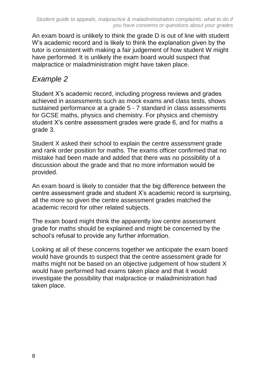An exam board is unlikely to think the grade D is out of line with student W's academic record and is likely to think the explanation given by the tutor is consistent with making a fair judgement of how student W might have performed. It is unlikely the exam board would suspect that malpractice or maladministration might have taken place.

### *Example 2*

Student X's academic record, including progress reviews and grades achieved in assessments such as mock exams and class tests, shows sustained performance at a grade 5 - 7 standard in class assessments for GCSE maths, physics and chemistry. For physics and chemistry student X's centre assessment grades were grade 6, and for maths a grade 3.

Student X asked their school to explain the centre assessment grade and rank order position for maths. The exams officer confirmed that no mistake had been made and added that there was no possibility of a discussion about the grade and that no more information would be provided.

An exam board is likely to consider that the big difference between the centre assessment grade and student X's academic record is surprising, all the more so given the centre assessment grades matched the academic record for other related subjects.

The exam board might think the apparently low centre assessment grade for maths should be explained and might be concerned by the school's refusal to provide any further information.

Looking at all of these concerns together we anticipate the exam board would have grounds to suspect that the centre assessment grade for maths might not be based on an objective judgement of how student X would have performed had exams taken place and that it would investigate the possibility that malpractice or maladministration had taken place.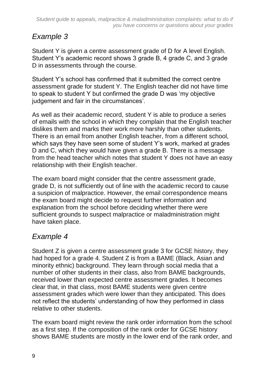### *Example 3*

Student Y is given a centre assessment grade of D for A level English. Student Y's academic record shows 3 grade B, 4 grade C, and 3 grade D in assessments through the course.

Student Y's school has confirmed that it submitted the correct centre assessment grade for student Y. The English teacher did not have time to speak to student Y but confirmed the grade D was 'my objective judgement and fair in the circumstances'.

As well as their academic record, student Y is able to produce a series of emails with the school in which they complain that the English teacher dislikes them and marks their work more harshly than other students. There is an email from another English teacher, from a different school, which says they have seen some of student Y's work, marked at grades D and C, which they would have given a grade B. There is a message from the head teacher which notes that student Y does not have an easy relationship with their English teacher.

The exam board might consider that the centre assessment grade, grade D, is not sufficiently out of line with the academic record to cause a suspicion of malpractice. However, the email correspondence means the exam board might decide to request further information and explanation from the school before deciding whether there were sufficient grounds to suspect malpractice or maladministration might have taken place.

## *Example 4*

Student Z is given a centre assessment grade 3 for GCSE history, they had hoped for a grade 4. Student Z is from a BAME (Black, Asian and minority ethnic) background. They learn through social media that a number of other students in their class, also from BAME backgrounds, received lower than expected centre assessment grades. It becomes clear that, in that class, most BAME students were given centre assessment grades which were lower than they anticipated. This does not reflect the students' understanding of how they performed in class relative to other students.

The exam board might review the rank order information from the school as a first step. If the composition of the rank order for GCSE history shows BAME students are mostly in the lower end of the rank order, and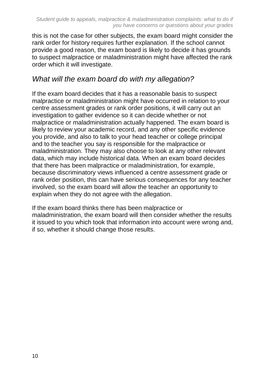this is not the case for other subjects, the exam board might consider the rank order for history requires further explanation. If the school cannot provide a good reason, the exam board is likely to decide it has grounds to suspect malpractice or maladministration might have affected the rank order which it will investigate.

### *What will the exam board do with my allegation?*

If the exam board decides that it has a reasonable basis to suspect malpractice or maladministration might have occurred in relation to your centre assessment grades or rank order positions, it will carry out an investigation to gather evidence so it can decide whether or not malpractice or maladministration actually happened. The exam board is likely to review your academic record, and any other specific evidence you provide, and also to talk to your head teacher or college principal and to the teacher you say is responsible for the malpractice or maladministration. They may also choose to look at any other relevant data, which may include historical data. When an exam board decides that there has been malpractice or maladministration, for example, because discriminatory views influenced a centre assessment grade or rank order position, this can have serious consequences for any teacher involved, so the exam board will allow the teacher an opportunity to explain when they do not agree with the allegation.

<span id="page-9-0"></span>If the exam board thinks there has been malpractice or maladministration, the exam board will then consider whether the results it issued to you which took that information into account were wrong and, if so, whether it should change those results.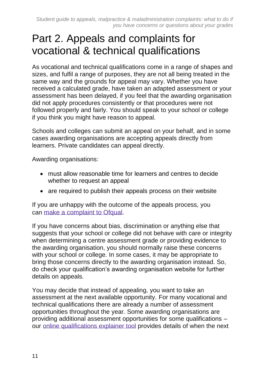# Part 2. Appeals and complaints for vocational & technical qualifications

As vocational and technical qualifications come in a range of shapes and sizes, and fulfil a range of purposes, they are not all being treated in the same way and the grounds for appeal may vary. Whether you have received a calculated grade, have taken an adapted assessment or your assessment has been delayed, if you feel that the awarding organisation did not apply procedures consistently or that procedures were not followed properly and fairly. You should speak to your school or college if you think you might have reason to appeal.

Schools and colleges can submit an appeal on your behalf, and in some cases awarding organisations are accepting appeals directly from learners. Private candidates can appeal directly.

Awarding organisations:

- must allow reasonable time for learners and centres to decide whether to request an appeal
- are required to publish their appeals process on their website

If you are unhappy with the outcome of the appeals process, you can [make a complaint to Ofqual](https://www.gov.uk/government/organisations/ofqual/about/complaints-procedure).

If you have concerns about bias, discrimination or anything else that suggests that your school or college did not behave with care or integrity when determining a centre assessment grade or providing evidence to the awarding organisation, you should normally raise these concerns with your school or college. In some cases, it may be appropriate to bring those concerns directly to the awarding organisation instead. So, do check your qualification's awarding organisation website for further details on appeals.

You may decide that instead of appealing, you want to take an assessment at the next available opportunity. For many vocational and technical qualifications there are already a number of assessment opportunities throughout the year. Some awarding organisations are providing additional assessment opportunities for some qualifications – our online [qualifications](https://analytics.ofqual.gov.uk/) explainer tool provides details of when the next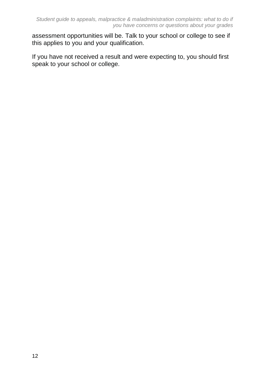assessment opportunities will be. Talk to your school or college to see if this applies to you and your qualification.

If you have not received a result and were expecting to, you should first speak to your school or college.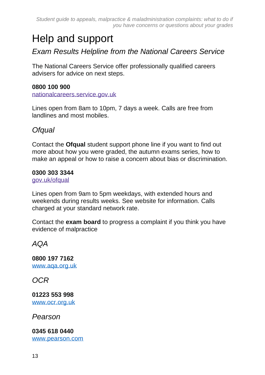*Student guide to appeals, malpractice & maladministration complaints: what to do if you have concerns or questions about your grades*

# <span id="page-12-0"></span>Help and support

*Exam Results Helpline from the National Careers Service*

The National Careers Service offer professionally qualified careers advisers for advice on next steps.

#### **0800 100 900**

[nationalcareers.service.gov.uk](https://nationalcareers.service.gov.uk/)

Lines open from 8am to 10pm, 7 days a week. Calls are free from landlines and most mobiles.

#### *Ofqual*

Contact the **Ofqual** student support phone line if you want to find out more about how you were graded, the autumn exams series, how to make an appeal or how to raise a concern about bias or discrimination.

#### **0300 303 3344**

[gov.uk/ofqual](https://gov.uk/ofqual)

Lines open from 9am to 5pm weekdays, with extended hours and weekends during results weeks. See website for information. Calls charged at your standard network rate.

Contact the **exam board** to progress a complaint if you think you have evidence of malpractice

#### *AQA*

**0800 197 7162** [www.aqa.org.uk](http://www.aqa.org.uk/)

*OCR*

**01223 553 998** [www.ocr.org.uk](http://www.ocr.org.uk/)

*Pearson*

**0345 618 0440** [www.pearson.com](http://www.pearson.com/)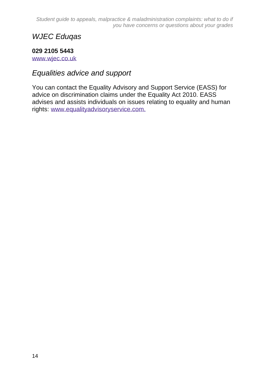*Student guide to appeals, malpractice & maladministration complaints: what to do if you have concerns or questions about your grades*

#### *WJEC Eduqas*

#### **029 2105 5443**

[www.wjec.co.uk](http://www.wjec.co.uk/)

#### *Equalities advice and support*

You can contact the Equality Advisory and Support Service (EASS) for advice on discrimination claims under the Equality Act 2010. EASS advises and assists individuals on issues relating to equality and human rights: [www.equalityadvisoryservice.com.](http://www.equalityadvisoryservice.com/)